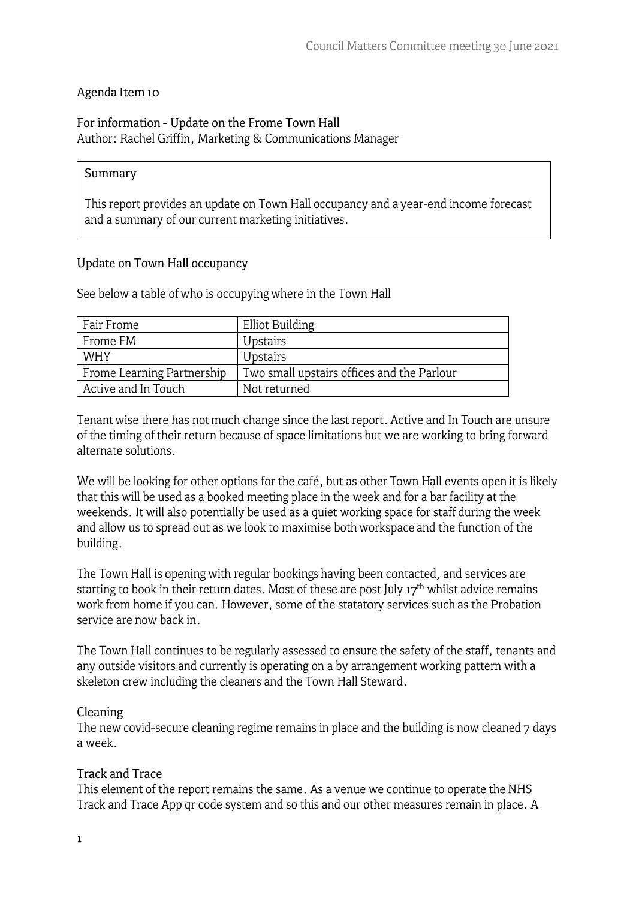## Agenda Item 10

### For information - Update on the Frome Town Hall Author: Rachel Griffin, Marketing & Communications Manager

#### Summary

This report provides an update on Town Hall occupancy and a year-end income forecast and a summary of our current marketing initiatives.

#### Update on Town Hall occupancy

|  |  |  |  |  | See below a table of who is occupying where in the Town Hall |  |  |  |  |  |
|--|--|--|--|--|--------------------------------------------------------------|--|--|--|--|--|
|--|--|--|--|--|--------------------------------------------------------------|--|--|--|--|--|

| Fair Frome                 | <b>Elliot Building</b>                     |
|----------------------------|--------------------------------------------|
| Frome FM                   | <b>Upstairs</b>                            |
| <b>WHY</b>                 | <b>Upstairs</b>                            |
| Frome Learning Partnership | Two small upstairs offices and the Parlour |
| Active and In Touch        | Not returned                               |

Tenant wise there has not much change since the last report. Active and In Touch are unsure of the timing of their return because of space limitations but we are working to bring forward alternate solutions.

We will be looking for other options for the café, but as other Town Hall events open it is likely that this will be used as a booked meeting place in the week and for a bar facility at the weekends. It will also potentially be used as a quiet working space for staff during the week and allow us to spread out as we look to maximise both workspace and the function of the building.

The Town Hall is opening with regular bookings having been contacted, and services are starting to book in their return dates. Most of these are post July  $17<sup>th</sup>$  whilst advice remains work from home if you can. However, some of the statatory services such as the Probation service are now back in.

The Town Hall continues to be regularly assessed to ensure the safety of the staff, tenants and any outside visitors and currently is operating on a by arrangement working pattern with a skeleton crew including the cleaners and the Town Hall Steward.

#### **Cleaning**

The new covid-secure cleaning regime remains in place and the building is now cleaned 7 days a week.

#### Track and Trace

This element of the report remains the same. As a venue we continue to operate the NHS Track and Trace App qr code system and so this and our other measures remain in place. A